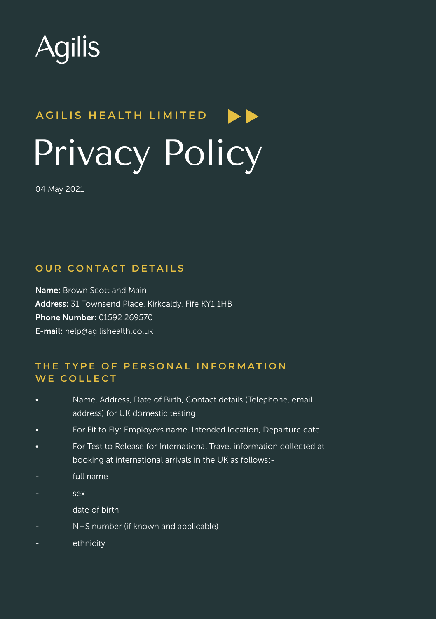

# **A G I L I S H E A LT H L I M I T E D**  Privacy Policy

04 May 2021

#### **OUR CONTACT DETAILS**

Name: Brown Scott and Main Address: 31 Townsend Place, Kirkcaldy, Fife KY1 1HB Phone Number: 01592 269570 E-mail: help@agilishealth.co.uk

# **THE TYPE OF PERSONAL INFORMATION** WE COLLECT

- Name, Address, Date of Birth, Contact details (Telephone, email address) for UK domestic testing
- For Fit to Fly: Employers name, Intended location, Departure date
- For Test to Release for International Travel information collected at booking at international arrivals in the UK as follows:-
- full name
- sex
- date of birth
- NHS number (if known and applicable)
- ethnicity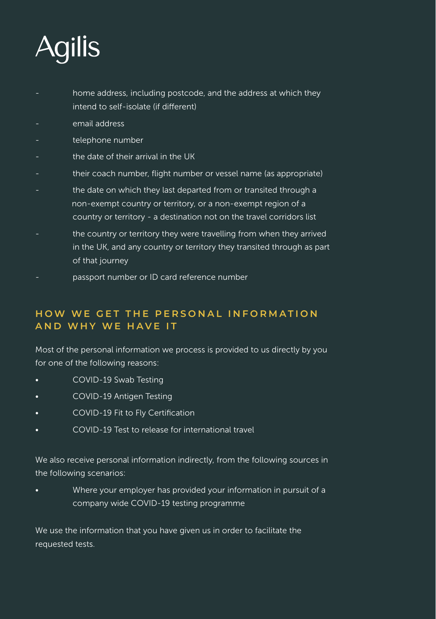

- home address, including postcode, and the address at which they intend to self-isolate (if different)
- email address
- telephone number
- the date of their arrival in the UK
- their coach number, flight number or vessel name (as appropriate)
- the date on which they last departed from or transited through a non-exempt country or territory, or a non-exempt region of a country or territory - a destination not on the travel corridors list
- the country or territory they were travelling from when they arrived in the UK, and any country or territory they transited through as part of that journey
- passport number or ID card reference number

# **HOW WE GET THE PERSONAL INFORMATION AND WHY WE HAVE IT**

Most of the personal information we process is provided to us directly by you for one of the following reasons:

- COVID-19 Swab Testing
- COVID-19 Antigen Testing
- COVID-19 Fit to Fly Certification
- COVID-19 Test to release for international travel

We also receive personal information indirectly, from the following sources in the following scenarios:

• Where your employer has provided your information in pursuit of a company wide COVID-19 testing programme

We use the information that you have given us in order to facilitate the requested tests.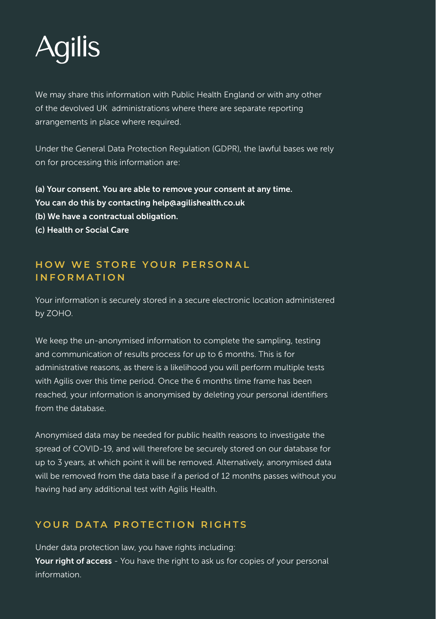

We may share this information with Public Health England or with any other of the devolved UK administrations where there are separate reporting arrangements in place where required.

Under the General Data Protection Regulation (GDPR), the lawful bases we rely on for processing this information are:

(a) Your consent. You are able to remove your consent at any time. You can do this by contacting help@agilishealth.co.uk (b) We have a contractual obligation. (c) Health or Social Care

## **HOW WE STORE YOUR PERSONAL I N F O R M A T I O N**

Your information is securely stored in a secure electronic location administered by ZOHO.

We keep the un-anonymised information to complete the sampling, testing and communication of results process for up to 6 months. This is for administrative reasons, as there is a likelihood you will perform multiple tests with Agilis over this time period. Once the 6 months time frame has been reached, your information is anonymised by deleting your personal identifiers from the database.

Anonymised data may be needed for public health reasons to investigate the spread of COVID-19, and will therefore be securely stored on our database for up to 3 years, at which point it will be removed. Alternatively, anonymised data will be removed from the data base if a period of 12 months passes without you having had any additional test with Agilis Health.

# **YOUR DATA PROTECTION RIGHTS**

Under data protection law, you have rights including: Your right of access - You have the right to ask us for copies of your personal information.